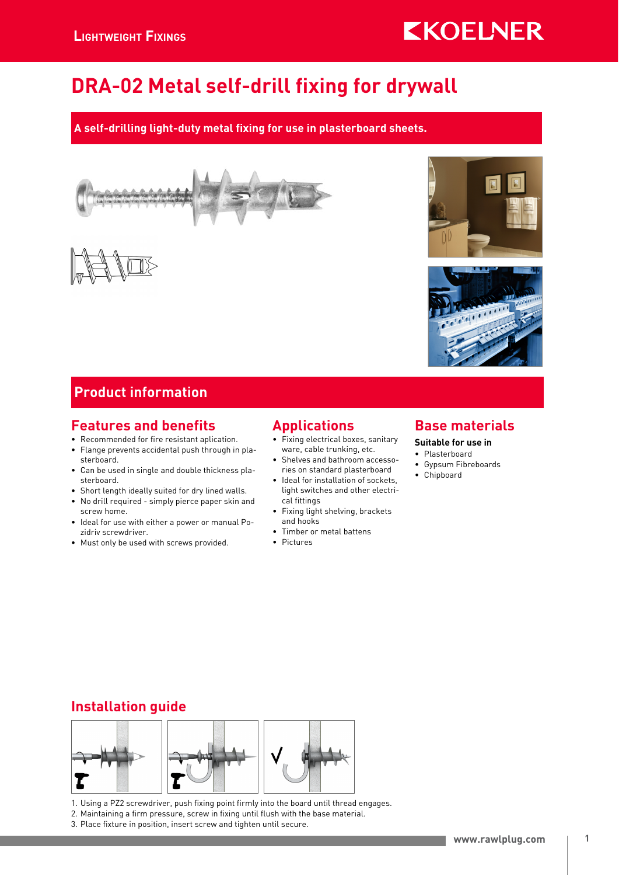# **KKOELNER**

# DRA-02 Metal self-drill fixing for drywall

### A self-drilling light-duty metal fixing for use in plasterboard sheets.







### Product information

### Features and benefits

- Recommended for fire resistant aplication.
- Flange prevents accidental push through in plasterboard.
- Can be used in single and double thickness plasterboard.
- Short length ideally suited for dry lined walls.
- No drill required simply pierce paper skin and screw home.
- Ideal for use with either a power or manual Pozidriv screwdriver.
- Must only be used with screws provided.

### Applications

- Fixing electrical boxes, sanitary ware, cable trunking, etc.
- Shelves and bathroom accessories on standard plasterboard
- Ideal for installation of sockets, light switches and other electrical fittings
- Fixing light shelving, brackets and hooks
- Timber or metal battens
- Pictures

### Base materials

#### Suitable for use in

- Plasterboard
- Gypsum Fibreboards
- Chipboard

## Installation guide



1. Using a PZ2 screwdriver, push fixing point firmly into the board until thread engages.

- 2. Maintaining a firm pressure, screw in fixing until flush with the base material.
- 3. Place fixture in position, insert screw and tighten until secure.